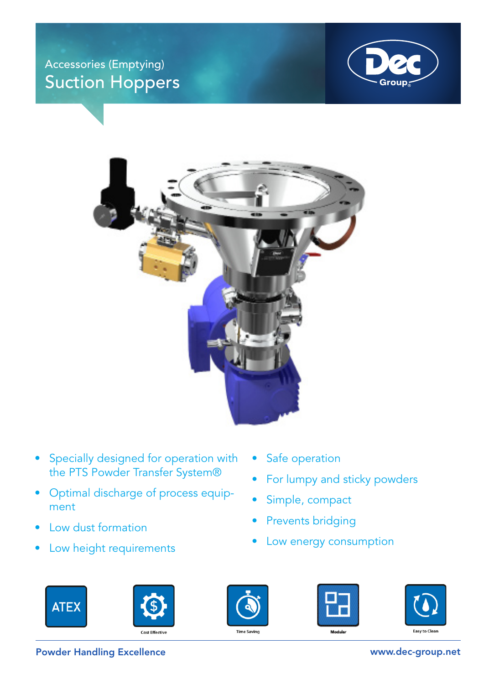## Accessories (Emptying) Suction Hoppers





- Specially designed for operation with the PTS Powder Transfer System®
- Optimal discharge of process equipment
- Low dust formation
- Low height requirements
- Safe operation
- For lumpy and sticky powders
- Simple, compact
- Prevents bridging
- Low energy consumption











Powder Handling Excellence www.dec-group.net